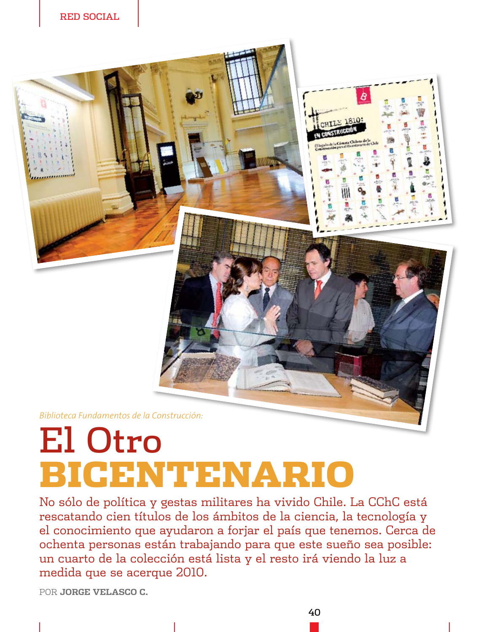

## **El Otro BIGENTENARIO**

No sólo de política y gestas militares ha vivido Chile. La CChC está rescatando cien títulos de los ámbitos de la ciencia, la tecnología y el conocimiento que ayudaron a forjar el país que tenemos. Cerca de ochenta personas están trabajando para que este sueño sea posible: un cuarto de la colección está lista y el resto irá viendo la luz a medida que se acerque 2010.

POR JORGE VELASCO C.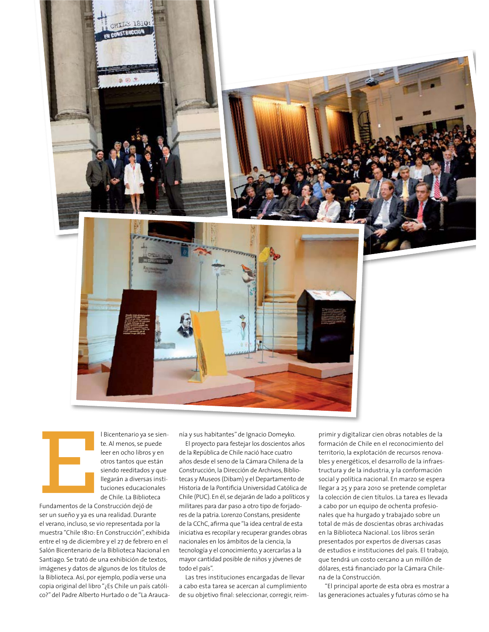



I Bicentenario ya se siente. Al menos, se puede leer en ocho libros y en otros tantos que están siendo reeditados y que llegarán a diversas instituciones educacionales de Chile. La Biblioteca

Fundamentos de la Construcción dejó de ser un sueño y ya es una realidad. Durante el verano, incluso, se vio representada por la muestra "Chile 1810: En Construcción", exhibida entre el 19 de diciembre y el 27 de febrero en el Salón Bicentenario de la Biblioteca Nacional en Santiago. Se trató de una exhibición de textos, imágenes y datos de algunos de los títulos de la Biblioteca. Así, por ejemplo, podía verse una copia original del libro "¿Es Chile un país católico?" del Padre Alberto Hurtado o de "La Araucanía y sus habitantes" de Ignacio Domeyko.

El proyecto para festejar los doscientos años de la República de Chile nació hace cuatro años desde el seno de la Cámara Chilena de la Construcción, la Dirección de Archivos, Bibliotecas y Museos (Dibam) y el Departamento de Historia de la Pontificia Universidad Católica de Chile (PUC). En él, se dejarán de lado a políticos y militares para dar paso a otro tipo de forjadores de la patria. Lorenzo Constans, presidente de la CChC, afirma que "la idea central de esta iniciativa es recopilar y recuperar grandes obras nacionales en los ámbitos de la ciencia, la tecnología y el conocimiento, y acercarlas a la mayor cantidad posible de niños y jóvenes de todo el país".

Las tres instituciones encargadas de llevar a cabo esta tarea se acercan al cumplimiento de su objetivo final: seleccionar, corregir, reim-

primir y digitalizar cien obras notables de la formación de Chile en el reconocimiento del territorio, la explotación de recursos renovables y energéticos, el desarrollo de la infraestructura y de la industria, y la conformación social y política nacional. En marzo se espera llegar a 25 y para 2010 se pretende completar la colección de cien títulos. La tarea es llevada a cabo por un equipo de ochenta profesionales que ha hurgado y trabajado sobre un total de más de doscientas obras archivadas en la Biblioteca Nacional. Los libros serán presentados por expertos de diversas casas de estudios e instituciones del país. El trabajo, que tendrá un costo cercano a un millón de dólares, está financiado por la Cámara Chilena de la Construcción.

"El principal aporte de esta obra es mostrar a las generaciones actuales y futuras cómo se ha